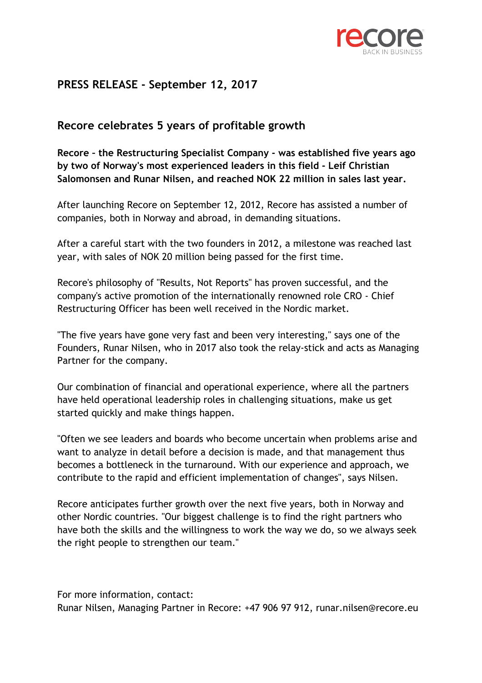

## **PRESS RELEASE - September 12, 2017**

## **Recore celebrates 5 years of profitable growth**

**Recore – the Restructuring Specialist Company - was established five years ago by two of Norway's most experienced leaders in this field - Leif Christian Salomonsen and Runar Nilsen, and reached NOK 22 million in sales last year.**

After launching Recore on September 12, 2012, Recore has assisted a number of companies, both in Norway and abroad, in demanding situations.

After a careful start with the two founders in 2012, a milestone was reached last year, with sales of NOK 20 million being passed for the first time.

Recore's philosophy of "Results, Not Reports" has proven successful, and the company's active promotion of the internationally renowned role CRO - Chief Restructuring Officer has been well received in the Nordic market.

"The five years have gone very fast and been very interesting," says one of the Founders, Runar Nilsen, who in 2017 also took the relay-stick and acts as Managing Partner for the company.

Our combination of financial and operational experience, where all the partners have held operational leadership roles in challenging situations, make us get started quickly and make things happen.

"Often we see leaders and boards who become uncertain when problems arise and want to analyze in detail before a decision is made, and that management thus becomes a bottleneck in the turnaround. With our experience and approach, we contribute to the rapid and efficient implementation of changes", says Nilsen.

Recore anticipates further growth over the next five years, both in Norway and other Nordic countries. "Our biggest challenge is to find the right partners who have both the skills and the willingness to work the way we do, so we always seek the right people to strengthen our team."

For more information, contact: Runar Nilsen, Managing Partner in Recore: +47 906 97 912, runar.nilsen@recore.eu